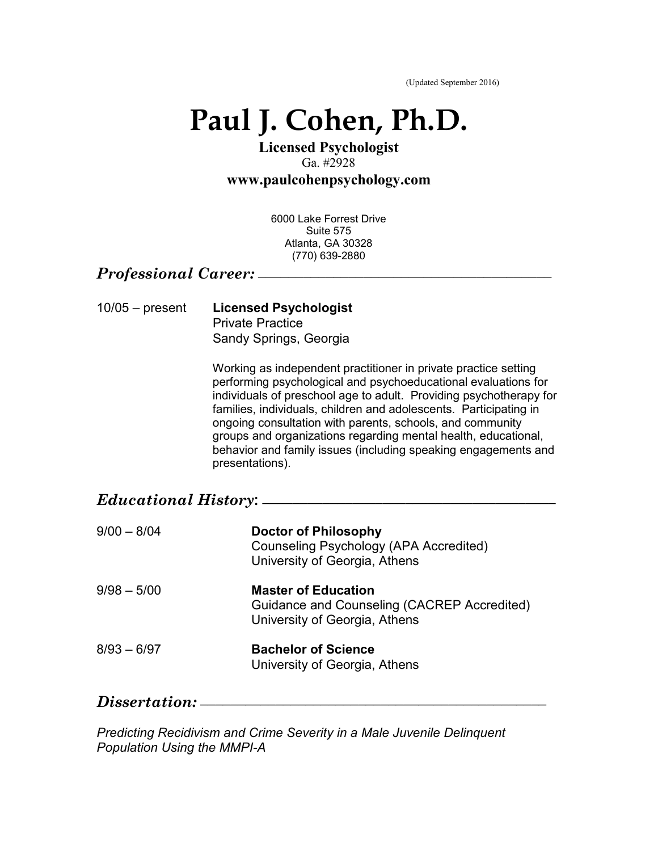(Updated September 2016)

# **Paul J. Cohen, Ph.D.**

# **Licensed Psychologist**  Ga. #2928

**www.paulcohenpsychology.com** 

6000 Lake Forrest Drive Suite 575 Atlanta, GA 30328 (770) 639-2880

### *Professional Career:* **\_\_\_\_\_\_\_\_\_\_\_\_\_\_\_\_\_\_\_\_\_\_\_\_\_\_\_\_\_\_\_\_\_\_\_\_\_\_\_**

| $10/05 -$ present | <b>Licensed Psychologist</b> |
|-------------------|------------------------------|
|                   | <b>Private Practice</b>      |
|                   | Sandy Springs, Georgia       |

Working as independent practitioner in private practice setting performing psychological and psychoeducational evaluations for individuals of preschool age to adult. Providing psychotherapy for families, individuals, children and adolescents. Participating in ongoing consultation with parents, schools, and community groups and organizations regarding mental health, educational, behavior and family issues (including speaking engagements and presentations).

| <i>Educational History:</i> — |                                                                                                            |  |
|-------------------------------|------------------------------------------------------------------------------------------------------------|--|
| $9/00 - 8/04$                 | Doctor of Philosophy<br>Counseling Psychology (APA Accredited)<br>University of Georgia, Athens            |  |
| $9/98 - 5/00$                 | <b>Master of Education</b><br>Guidance and Counseling (CACREP Accredited)<br>University of Georgia, Athens |  |
| $8/93 - 6/97$                 | <b>Bachelor of Science</b><br>University of Georgia, Athens                                                |  |

### $Dissertation:$

*Predicting Recidivism and Crime Severity in a Male Juvenile Delinquent Population Using the MMPI-A*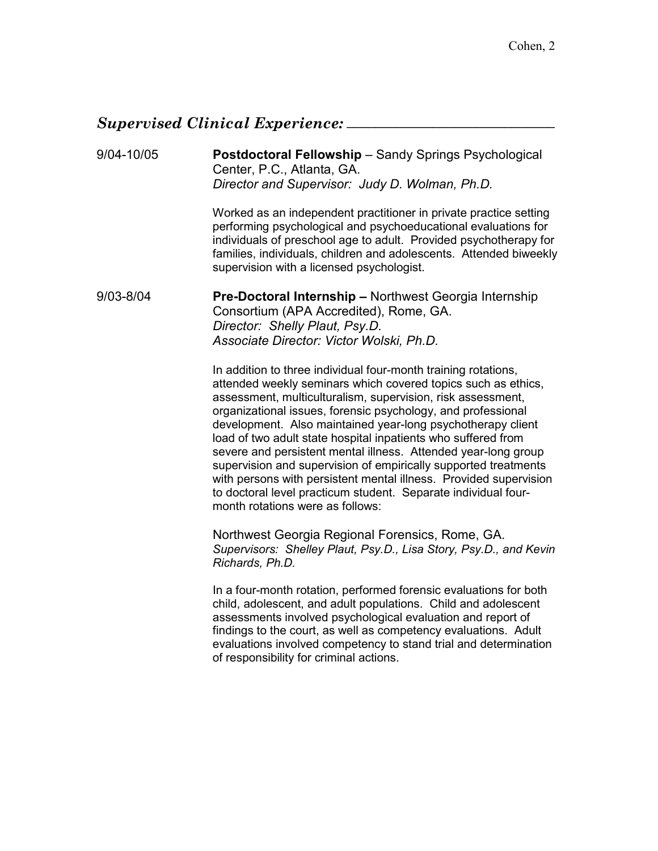### *Supervised Clinical Experience:* \_\_\_\_\_\_\_\_\_\_\_\_\_\_\_\_\_\_\_\_\_\_\_\_\_\_\_\_\_

### 9/04-10/05 **Postdoctoral Fellowship** – Sandy Springs Psychological Center, P.C., Atlanta, GA. *Director and Supervisor: Judy D. Wolman, Ph.D.*

Worked as an independent practitioner in private practice setting performing psychological and psychoeducational evaluations for individuals of preschool age to adult. Provided psychotherapy for families, individuals, children and adolescents. Attended biweekly supervision with a licensed psychologist.

9/03-8/04 **Pre-Doctoral Internship –** Northwest Georgia Internship Consortium (APA Accredited), Rome, GA. *Director: Shelly Plaut, Psy.D. Associate Director: Victor Wolski, Ph.D.*

> In addition to three individual four-month training rotations, attended weekly seminars which covered topics such as ethics, assessment, multiculturalism, supervision, risk assessment, organizational issues, forensic psychology, and professional development. Also maintained year-long psychotherapy client load of two adult state hospital inpatients who suffered from severe and persistent mental illness. Attended year-long group supervision and supervision of empirically supported treatments with persons with persistent mental illness. Provided supervision to doctoral level practicum student. Separate individual fourmonth rotations were as follows:

> Northwest Georgia Regional Forensics, Rome, GA. *Supervisors: Shelley Plaut, Psy.D., Lisa Story, Psy.D., and Kevin Richards, Ph.D.*

> In a four-month rotation, performed forensic evaluations for both child, adolescent, and adult populations. Child and adolescent assessments involved psychological evaluation and report of findings to the court, as well as competency evaluations. Adult evaluations involved competency to stand trial and determination of responsibility for criminal actions.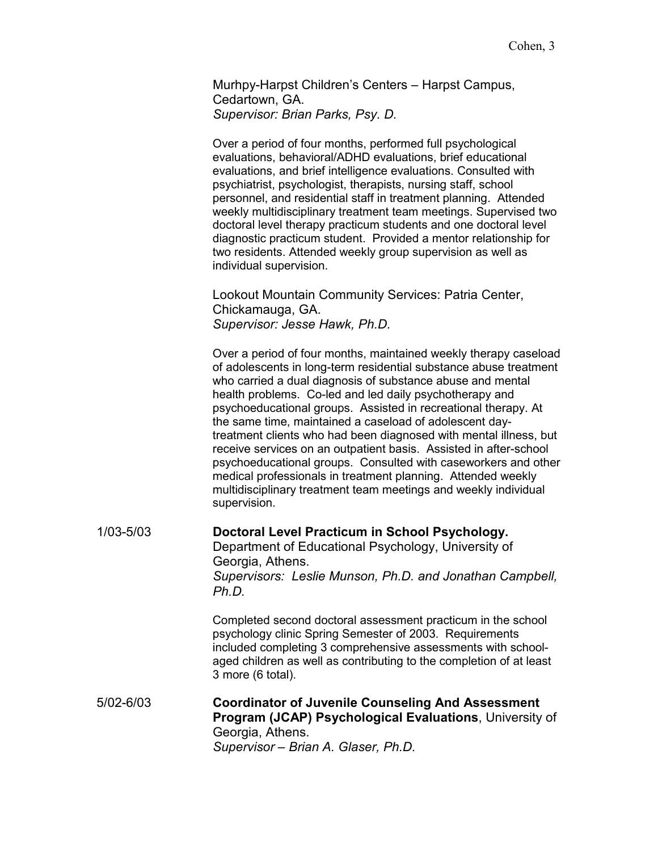Murhpy-Harpst Children's Centers – Harpst Campus, Cedartown, GA. *Supervisor: Brian Parks, Psy. D.* 

Over a period of four months, performed full psychological evaluations, behavioral/ADHD evaluations, brief educational evaluations, and brief intelligence evaluations. Consulted with psychiatrist, psychologist, therapists, nursing staff, school personnel, and residential staff in treatment planning. Attended weekly multidisciplinary treatment team meetings. Supervised two doctoral level therapy practicum students and one doctoral level diagnostic practicum student. Provided a mentor relationship for two residents. Attended weekly group supervision as well as individual supervision.

Lookout Mountain Community Services: Patria Center, Chickamauga, GA. *Supervisor: Jesse Hawk, Ph.D.* 

Over a period of four months, maintained weekly therapy caseload of adolescents in long-term residential substance abuse treatment who carried a dual diagnosis of substance abuse and mental health problems. Co-led and led daily psychotherapy and psychoeducational groups. Assisted in recreational therapy. At the same time, maintained a caseload of adolescent daytreatment clients who had been diagnosed with mental illness, but receive services on an outpatient basis. Assisted in after-school psychoeducational groups. Consulted with caseworkers and other medical professionals in treatment planning. Attended weekly multidisciplinary treatment team meetings and weekly individual supervision.

| $1/03 - 5/03$ | Doctoral Level Practicum in School Psychology.<br>Department of Educational Psychology, University of<br>Georgia, Athens.<br>Supervisors: Leslie Munson, Ph.D. and Jonathan Campbell,<br>Ph.D.                                                                 |
|---------------|----------------------------------------------------------------------------------------------------------------------------------------------------------------------------------------------------------------------------------------------------------------|
|               | Completed second doctoral assessment practicum in the school<br>psychology clinic Spring Semester of 2003. Requirements<br>included completing 3 comprehensive assessments with school-<br>aged children as well as contributing to the completion of at least |

5/02-6/03 **Coordinator of Juvenile Counseling And Assessment Program (JCAP) Psychological Evaluations**, University of Georgia, Athens. *Supervisor – Brian A. Glaser, Ph.D.* 

3 more (6 total).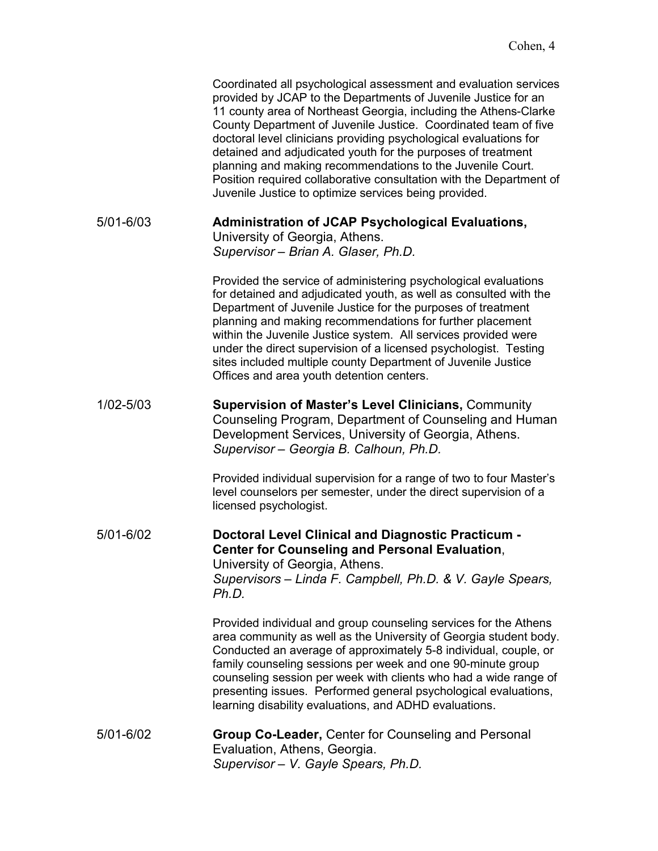|           | Coordinated all psychological assessment and evaluation services<br>provided by JCAP to the Departments of Juvenile Justice for an<br>11 county area of Northeast Georgia, including the Athens-Clarke<br>County Department of Juvenile Justice. Coordinated team of five<br>doctoral level clinicians providing psychological evaluations for<br>detained and adjudicated youth for the purposes of treatment<br>planning and making recommendations to the Juvenile Court.<br>Position required collaborative consultation with the Department of<br>Juvenile Justice to optimize services being provided. |
|-----------|--------------------------------------------------------------------------------------------------------------------------------------------------------------------------------------------------------------------------------------------------------------------------------------------------------------------------------------------------------------------------------------------------------------------------------------------------------------------------------------------------------------------------------------------------------------------------------------------------------------|
| 5/01-6/03 | <b>Administration of JCAP Psychological Evaluations,</b><br>University of Georgia, Athens.<br>Supervisor - Brian A. Glaser, Ph.D.                                                                                                                                                                                                                                                                                                                                                                                                                                                                            |
|           | Provided the service of administering psychological evaluations<br>for detained and adjudicated youth, as well as consulted with the<br>Department of Juvenile Justice for the purposes of treatment<br>planning and making recommendations for further placement<br>within the Juvenile Justice system. All services provided were<br>under the direct supervision of a licensed psychologist. Testing<br>sites included multiple county Department of Juvenile Justice<br>Offices and area youth detention centers.                                                                                        |
| 1/02-5/03 | <b>Supervision of Master's Level Clinicians, Community</b><br>Counseling Program, Department of Counseling and Human<br>Development Services, University of Georgia, Athens.<br>Supervisor - Georgia B. Calhoun, Ph.D.                                                                                                                                                                                                                                                                                                                                                                                       |
|           | Provided individual supervision for a range of two to four Master's<br>level counselors per semester, under the direct supervision of a<br>licensed psychologist.                                                                                                                                                                                                                                                                                                                                                                                                                                            |
| 5/01-6/02 | <b>Doctoral Level Clinical and Diagnostic Practicum -</b><br><b>Center for Counseling and Personal Evaluation,</b><br>University of Georgia, Athens.<br>Supervisors – Linda F. Campbell, Ph.D. & V. Gayle Spears,<br>Ph.D.                                                                                                                                                                                                                                                                                                                                                                                   |
|           | Provided individual and group counseling services for the Athens<br>area community as well as the University of Georgia student body.<br>Conducted an average of approximately 5-8 individual, couple, or<br>family counseling sessions per week and one 90-minute group<br>counseling session per week with clients who had a wide range of<br>presenting issues. Performed general psychological evaluations,<br>learning disability evaluations, and ADHD evaluations.                                                                                                                                    |
| 5/01-6/02 | <b>Group Co-Leader, Center for Counseling and Personal</b><br>Evaluation, Athens, Georgia.<br>Supervisor - V. Gayle Spears, Ph.D.                                                                                                                                                                                                                                                                                                                                                                                                                                                                            |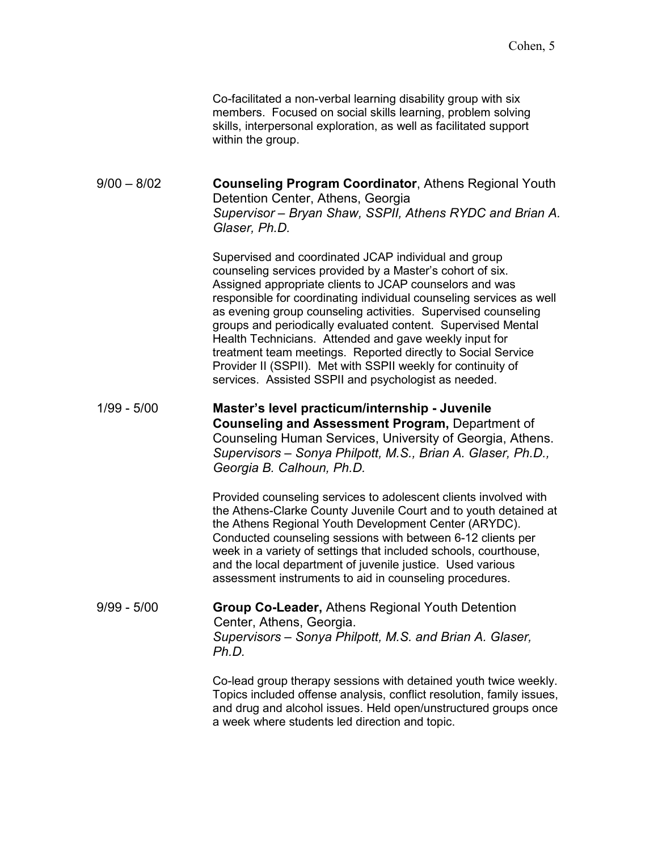|               | Co-facilitated a non-verbal learning disability group with six<br>members. Focused on social skills learning, problem solving<br>skills, interpersonal exploration, as well as facilitated support<br>within the group.                                                                                                                                                                                                                                                                                                                                                                                                                |
|---------------|----------------------------------------------------------------------------------------------------------------------------------------------------------------------------------------------------------------------------------------------------------------------------------------------------------------------------------------------------------------------------------------------------------------------------------------------------------------------------------------------------------------------------------------------------------------------------------------------------------------------------------------|
| $9/00 - 8/02$ | <b>Counseling Program Coordinator, Athens Regional Youth</b><br>Detention Center, Athens, Georgia<br>Supervisor – Bryan Shaw, SSPII, Athens RYDC and Brian A.<br>Glaser, Ph.D.                                                                                                                                                                                                                                                                                                                                                                                                                                                         |
|               | Supervised and coordinated JCAP individual and group<br>counseling services provided by a Master's cohort of six.<br>Assigned appropriate clients to JCAP counselors and was<br>responsible for coordinating individual counseling services as well<br>as evening group counseling activities. Supervised counseling<br>groups and periodically evaluated content. Supervised Mental<br>Health Technicians. Attended and gave weekly input for<br>treatment team meetings. Reported directly to Social Service<br>Provider II (SSPII). Met with SSPII weekly for continuity of<br>services. Assisted SSPII and psychologist as needed. |
| $1/99 - 5/00$ | Master's level practicum/internship - Juvenile<br>Counseling and Assessment Program, Department of<br>Counseling Human Services, University of Georgia, Athens.<br>Supervisors - Sonya Philpott, M.S., Brian A. Glaser, Ph.D.,<br>Georgia B. Calhoun, Ph.D.                                                                                                                                                                                                                                                                                                                                                                            |
|               | Provided counseling services to adolescent clients involved with<br>the Athens-Clarke County Juvenile Court and to youth detained at<br>the Athens Regional Youth Development Center (ARYDC).<br>Conducted counseling sessions with between 6-12 clients per<br>week in a variety of settings that included schools, courthouse,<br>and the local department of juvenile justice. Used various<br>assessment instruments to aid in counseling procedures.                                                                                                                                                                              |
| $9/99 - 5/00$ | <b>Group Co-Leader, Athens Regional Youth Detention</b><br>Center, Athens, Georgia.<br>Supervisors - Sonya Philpott, M.S. and Brian A. Glaser,<br>Ph.D.                                                                                                                                                                                                                                                                                                                                                                                                                                                                                |
|               | Co-lead group therapy sessions with detained youth twice weekly.<br>Topics included offense analysis, conflict resolution, family issues,<br>and drug and alcohol issues. Held open/unstructured groups once                                                                                                                                                                                                                                                                                                                                                                                                                           |

a week where students led direction and topic.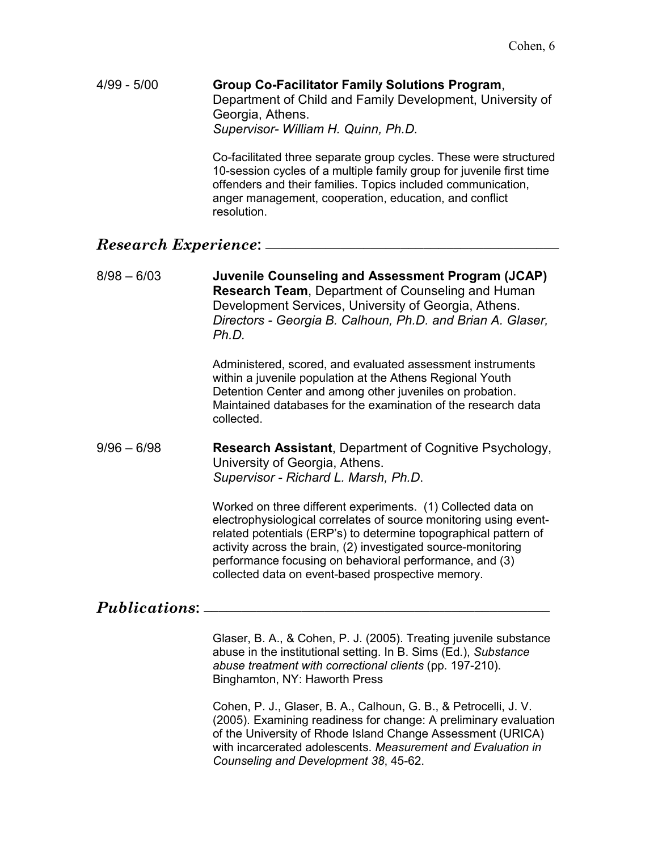4/99 - 5/00 **Group Co-Facilitator Family Solutions Program**, Department of Child and Family Development, University of Georgia, Athens. *Supervisor- William H. Quinn, Ph.D.* 

> Co-facilitated three separate group cycles. These were structured 10-session cycles of a multiple family group for juvenile first time offenders and their families. Topics included communication, anger management, cooperation, education, and conflict resolution.

# *Research Experience***: \_\_\_\_\_\_\_\_\_\_\_\_\_\_\_\_\_\_\_\_\_\_\_\_\_\_\_\_\_\_\_\_\_\_\_\_\_\_\_**

8/98 – 6/03 **Juvenile Counseling and Assessment Program (JCAP) Research Team**, Department of Counseling and Human Development Services, University of Georgia, Athens. *Directors - Georgia B. Calhoun, Ph.D. and Brian A. Glaser, Ph.D.* 

> Administered, scored, and evaluated assessment instruments within a juvenile population at the Athens Regional Youth Detention Center and among other juveniles on probation. Maintained databases for the examination of the research data collected.

### 9/96 – 6/98 **Research Assistant**, Department of Cognitive Psychology, University of Georgia, Athens. *Supervisor - Richard L. Marsh, Ph.D*.

Worked on three different experiments. (1) Collected data on electrophysiological correlates of source monitoring using eventrelated potentials (ERP's) to determine topographical pattern of activity across the brain, (2) investigated source-monitoring performance focusing on behavioral performance, and (3) collected data on event-based prospective memory.

# *Publications***: \_\_\_\_\_\_\_\_\_\_\_\_\_\_\_\_\_\_\_\_\_\_\_\_\_\_\_\_\_\_\_\_\_\_\_\_\_\_\_\_\_\_\_\_\_\_**

Glaser, B. A., & Cohen, P. J. (2005). Treating juvenile substance abuse in the institutional setting. In B. Sims (Ed.), *Substance abuse treatment with correctional clients* (pp. 197-210). Binghamton, NY: Haworth Press

Cohen, P. J., Glaser, B. A., Calhoun, G. B., & Petrocelli, J. V. (2005). Examining readiness for change: A preliminary evaluation of the University of Rhode Island Change Assessment (URICA) with incarcerated adolescents. *Measurement and Evaluation in Counseling and Development 38*, 45-62.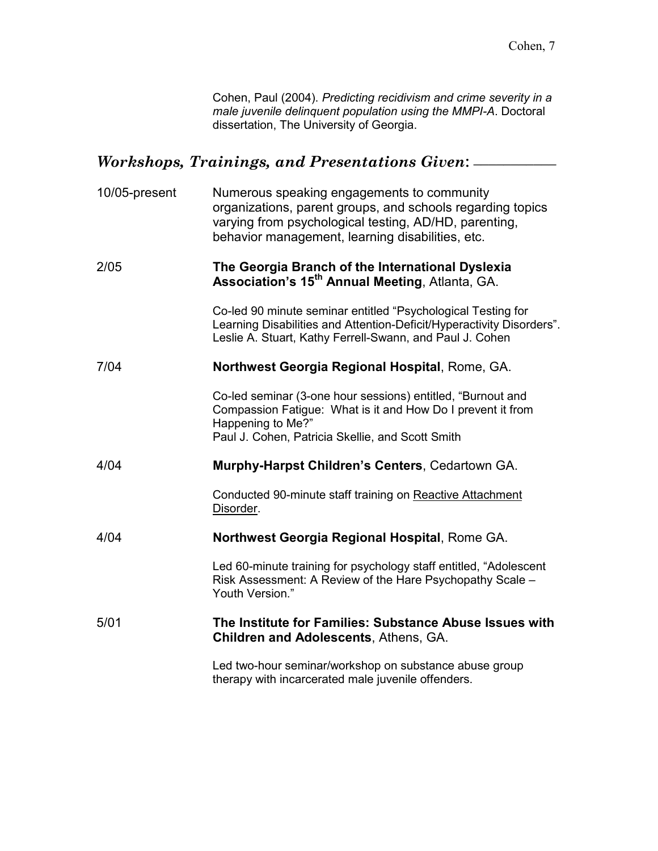Cohen, Paul (2004). *Predicting recidivism and crime severity in a male juvenile delinquent population using the MMPI-A*. Doctoral dissertation, The University of Georgia.

# *Workshops, Trainings, and Presentations Given***: \_\_\_\_\_\_\_\_\_\_\_**

| 10/05-present | Numerous speaking engagements to community<br>organizations, parent groups, and schools regarding topics<br>varying from psychological testing, AD/HD, parenting,<br>behavior management, learning disabilities, etc. |
|---------------|-----------------------------------------------------------------------------------------------------------------------------------------------------------------------------------------------------------------------|
| 2/05          | The Georgia Branch of the International Dyslexia<br><b>Association's 15<sup>th</sup> Annual Meeting, Atlanta, GA.</b>                                                                                                 |
|               | Co-led 90 minute seminar entitled "Psychological Testing for<br>Learning Disabilities and Attention-Deficit/Hyperactivity Disorders".<br>Leslie A. Stuart, Kathy Ferrell-Swann, and Paul J. Cohen                     |
| 7/04          | Northwest Georgia Regional Hospital, Rome, GA.                                                                                                                                                                        |
|               | Co-led seminar (3-one hour sessions) entitled, "Burnout and<br>Compassion Fatigue: What is it and How Do I prevent it from<br>Happening to Me?"<br>Paul J. Cohen, Patricia Skellie, and Scott Smith                   |
| 4/04          | Murphy-Harpst Children's Centers, Cedartown GA.                                                                                                                                                                       |
|               | Conducted 90-minute staff training on Reactive Attachment<br>Disorder.                                                                                                                                                |
| 4/04          | Northwest Georgia Regional Hospital, Rome GA.                                                                                                                                                                         |
|               | Led 60-minute training for psychology staff entitled, "Adolescent<br>Risk Assessment: A Review of the Hare Psychopathy Scale -<br>Youth Version."                                                                     |
| 5/01          | The Institute for Families: Substance Abuse Issues with<br><b>Children and Adolescents, Athens, GA.</b>                                                                                                               |
|               | Led two-hour seminar/workshop on substance abuse group<br>therapy with incarcerated male juvenile offenders.                                                                                                          |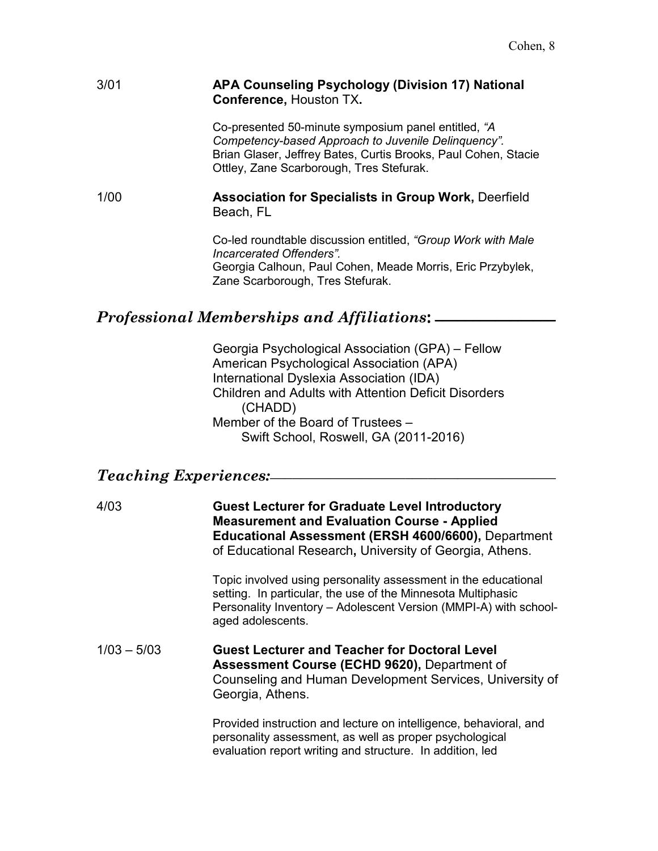### 3/01 **APA Counseling Psychology (Division 17) National Conference,** Houston TX**.**

Co-presented 50-minute symposium panel entitled, *"A Competency-based Approach to Juvenile Delinquency".* Brian Glaser, Jeffrey Bates, Curtis Brooks, Paul Cohen, Stacie Ottley, Zane Scarborough, Tres Stefurak.

1/00 **Association for Specialists in Group Work,** Deerfield Beach, FL

> Co-led roundtable discussion entitled, *"Group Work with Male Incarcerated Offenders".* Georgia Calhoun, Paul Cohen, Meade Morris, Eric Przybylek, Zane Scarborough, Tres Stefurak.

### *Professional Memberships and Affiliations***: \_\_\_\_\_\_\_\_\_\_\_\_\_\_\_\_**

 Georgia Psychological Association (GPA) – Fellow American Psychological Association (APA) International Dyslexia Association (IDA) Children and Adults with Attention Deficit Disorders (CHADD) Member of the Board of Trustees – Swift School, Roswell, GA (2011-2016)

# *Teaching Experiences:\_\_\_\_\_\_\_\_\_\_\_\_\_\_\_\_\_\_\_\_\_\_\_\_\_\_\_\_\_\_\_\_\_\_\_\_\_\_*

4/03 **Guest Lecturer for Graduate Level Introductory Measurement and Evaluation Course - Applied Educational Assessment (ERSH 4600/6600),** Department of Educational Research**,** University of Georgia, Athens.

> Topic involved using personality assessment in the educational setting. In particular, the use of the Minnesota Multiphasic Personality Inventory – Adolescent Version (MMPI-A) with schoolaged adolescents.

### 1/03 – 5/03 **Guest Lecturer and Teacher for Doctoral Level Assessment Course (ECHD 9620),** Department of Counseling and Human Development Services, University of Georgia, Athens.

Provided instruction and lecture on intelligence, behavioral, and personality assessment, as well as proper psychological evaluation report writing and structure. In addition, led